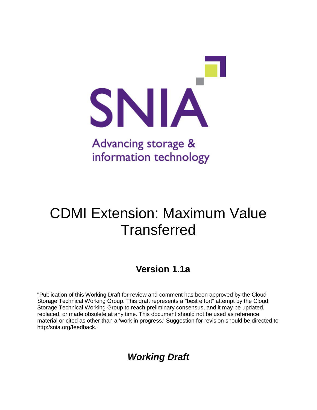

# CDMI Extension: Maximum Value **Transferred**

## **Version 1.1a**

"Publication of this Working Draft for review and comment has been approved by the Cloud Storage Technical Working Group. This draft represents a "best effort" attempt by the Cloud Storage Technical Working Group to reach preliminary consensus, and it may be updated, replaced, or made obsolete at any time. This document should not be used as reference material or cited as other than a 'work in progress.' Suggestion for revision should be directed to http:/snia.org/feedback."

*Working Draft*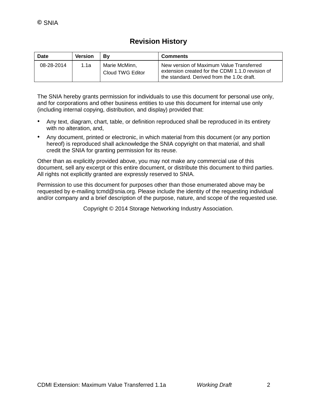### **Revision History**

| Date       | Version | Βv                                | <b>Comments</b>                                                                                                                            |
|------------|---------|-----------------------------------|--------------------------------------------------------------------------------------------------------------------------------------------|
| 08-28-2014 | 1.1a    | Marie McMinn.<br>Cloud TWG Editor | New version of Maximum Value Transferred<br>extension created for the CDMI 1.1.0 revision of<br>the standard. Derived from the 1.0c draft. |

The SNIA hereby grants permission for individuals to use this document for personal use only, and for corporations and other business entities to use this document for internal use only (including internal copying, distribution, and display) provided that:

- Any text, diagram, chart, table, or definition reproduced shall be reproduced in its entirety with no alteration, and,
- Any document, printed or electronic, in which material from this document (or any portion hereof) is reproduced shall acknowledge the SNIA copyright on that material, and shall credit the SNIA for granting permission for its reuse.

Other than as explicitly provided above, you may not make any commercial use of this document, sell any excerpt or this entire document, or distribute this document to third parties. All rights not explicitly granted are expressly reserved to SNIA.

Permission to use this document for purposes other than those enumerated above may be requested by e-mailing tcmd@snia.org. Please include the identity of the requesting individual and/or company and a brief description of the purpose, nature, and scope of the requested use.

Copyright © 2014 Storage Networking Industry Association.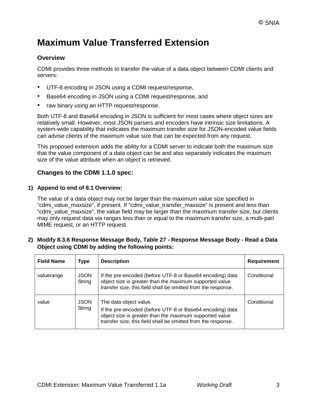## **Maximum Value Transferred Extension**

#### **Overview**

CDMI provides three methods to transfer the value of a data object between CDMI clients and servers:

- UTF-8 encoding in JSON using a CDMI request/response,
- Base64 encoding in JSON using a CDMI request/response, and
- raw binary using an HTTP request/response.

Both UTF-8 and Base64 encoding in JSON is sufficient for most cases where object sizes are relatively small. However, most JSON parsers and encoders have intrinsic size limitations. A system-wide capability that indicates the maximum transfer size for JSON-encoded value fields can advise clients of the maximum value size that can be expected from any request.

This proposed extension adds the ability for a CDMI server to indicate both the maximum size that the value component of a data object can be and also separately indicates the maximum size of the value attribute when an object is retrieved.

#### **Changes to the CDMI 1.1.0 spec:**

#### **1) Append to end of 8.1 Overview:**

The value of a data object may not be larger than the maximum value size specified in "cdmi\_value\_maxsize", if present. If "cdmi\_value\_transfer\_maxsize" is present and less than "cdmi\_value\_maxsize", the value field may be larger than the maximum transfer size, but clients may only request data via ranges less than or equal to the maximum transfer size, a multi-part MIME request, or an HTTP request.

#### **2) Modify 8.3.6 Response Message Body, Table 27 - Response Message Body - Read a Data Object using CDMI by adding the following points:**

| <b>Field Name</b> | <b>Type</b>           | <b>Description</b>                                                                                                                                                                                              | <b>Requirement</b> |
|-------------------|-----------------------|-----------------------------------------------------------------------------------------------------------------------------------------------------------------------------------------------------------------|--------------------|
| valuerange        | <b>JSON</b><br>String | If the pre-encoded (before UTF-8 or Base64 encoding) data<br>object size is greater than the maximum supported value<br>transfer size, this field shall be omitted from the response.                           | Conditional        |
| value             | <b>JSON</b><br>String | The data object value.<br>If the pre-encoded (before UTF-8 or Base64 encoding) data<br>object size is greater than the maximum supported value<br>transfer size, this field shall be omitted from the response. | Conditional        |